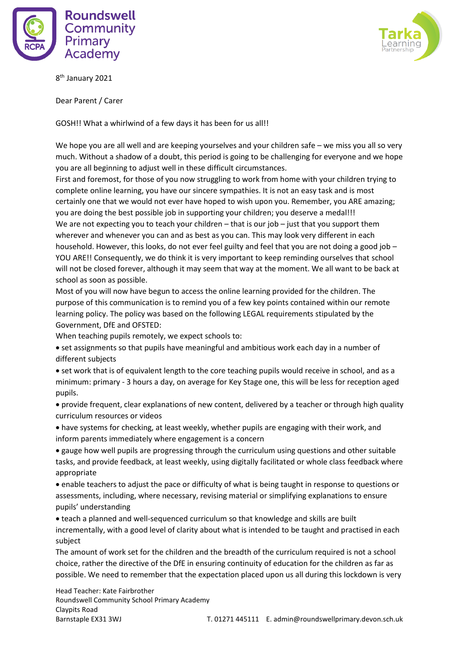



8 th January 2021

Dear Parent / Carer

GOSH!! What a whirlwind of a few days it has been for us all!!

We hope you are all well and are keeping yourselves and your children safe – we miss you all so very much. Without a shadow of a doubt, this period is going to be challenging for everyone and we hope you are all beginning to adjust well in these difficult circumstances.

First and foremost, for those of you now struggling to work from home with your children trying to complete online learning, you have our sincere sympathies. It is not an easy task and is most certainly one that we would not ever have hoped to wish upon you. Remember, you ARE amazing; you are doing the best possible job in supporting your children; you deserve a medal!!! We are not expecting you to teach your children – that is our job – just that you support them wherever and whenever you can and as best as you can. This may look very different in each household. However, this looks, do not ever feel guilty and feel that you are not doing a good job – YOU ARE!! Consequently, we do think it is very important to keep reminding ourselves that school will not be closed forever, although it may seem that way at the moment. We all want to be back at school as soon as possible.

Most of you will now have begun to access the online learning provided for the children. The purpose of this communication is to remind you of a few key points contained within our remote learning policy. The policy was based on the following LEGAL requirements stipulated by the Government, DfE and OFSTED:

When teaching pupils remotely, we expect schools to:

• set assignments so that pupils have meaningful and ambitious work each day in a number of different subjects

• set work that is of equivalent length to the core teaching pupils would receive in school, and as a minimum: primary - 3 hours a day, on average for Key Stage one, this will be less for reception aged pupils.

• provide frequent, clear explanations of new content, delivered by a teacher or through high quality curriculum resources or videos

• have systems for checking, at least weekly, whether pupils are engaging with their work, and inform parents immediately where engagement is a concern

• gauge how well pupils are progressing through the curriculum using questions and other suitable tasks, and provide feedback, at least weekly, using digitally facilitated or whole class feedback where appropriate

• enable teachers to adjust the pace or difficulty of what is being taught in response to questions or assessments, including, where necessary, revising material or simplifying explanations to ensure pupils' understanding

• teach a planned and well-sequenced curriculum so that knowledge and skills are built incrementally, with a good level of clarity about what is intended to be taught and practised in each subject

The amount of work set for the children and the breadth of the curriculum required is not a school choice, rather the directive of the DfE in ensuring continuity of education for the children as far as possible. We need to remember that the expectation placed upon us all during this lockdown is very

Head Teacher: Kate Fairbrother Roundswell Community School Primary Academy Claypits Road